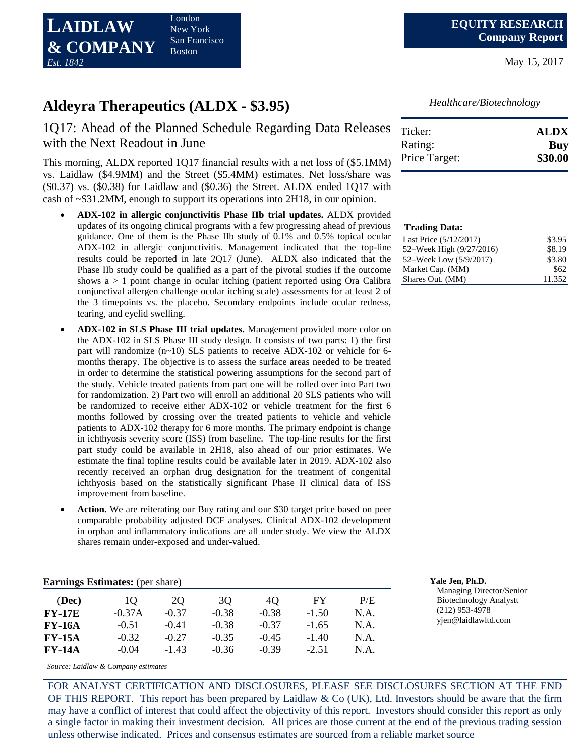

London New York San Francisco Boston

May 15, 2017

## **Aldeyra Therapeutics (ALDX - \$3.95)**

### 1Q17: Ahead of the Planned Schedule Regarding Data Releases with the Next Readout in June

This morning, ALDX reported 1Q17 financial results with a net loss of (\$5.1MM) vs. Laidlaw (\$4.9MM) and the Street (\$5.4MM) estimates. Net loss/share was (\$0.37) vs. (\$0.38) for Laidlaw and (\$0.36) the Street. ALDX ended 1Q17 with cash of ~\$31.2MM, enough to support its operations into 2H18, in our opinion.

- **ADX-102 in allergic conjunctivitis Phase IIb trial updates.** ALDX provided updates of its ongoing clinical programs with a few progressing ahead of previous guidance. One of them is the Phase IIb study of 0.1% and 0.5% topical ocular ADX-102 in allergic conjunctivitis. Management indicated that the top-line results could be reported in late 2Q17 (June). ALDX also indicated that the Phase IIb study could be qualified as a part of the pivotal studies if the outcome shows  $a \ge 1$  point change in ocular itching (patient reported using Ora Calibra conjunctival allergen challenge ocular itching scale) assessments for at least 2 of the 3 timepoints vs. the placebo. Secondary endpoints include ocular redness, tearing, and eyelid swelling.
- **ADX-102 in SLS Phase III trial updates.** Management provided more color on the ADX-102 in SLS Phase III study design. It consists of two parts: 1) the first part will randomize (n~10) SLS patients to receive ADX-102 or vehicle for 6 months therapy. The objective is to assess the surface areas needed to be treated in order to determine the statistical powering assumptions for the second part of the study. Vehicle treated patients from part one will be rolled over into Part two for randomization. 2) Part two will enroll an additional 20 SLS patients who will be randomized to receive either ADX-102 or vehicle treatment for the first 6 months followed by crossing over the treated patients to vehicle and vehicle patients to ADX-102 therapy for 6 more months. The primary endpoint is change in ichthyosis severity score (ISS) from baseline. The top-line results for the first part study could be available in 2H18, also ahead of our prior estimates. We estimate the final topline results could be available later in 2019. ADX-102 also recently received an orphan drug designation for the treatment of congenital ichthyosis based on the statistically significant Phase II clinical data of ISS improvement from baseline.
- **Action.** We are reiterating our Buy rating and our \$30 target price based on peer comparable probability adjusted DCF analyses. Clinical ADX-102 development in orphan and inflammatory indications are all under study. We view the ALDX shares remain under-exposed and under-valued.

| <b>Earnings Estimates:</b> (per share) | Yale Jen. Ph.D. |
|----------------------------------------|-----------------|
|                                        |                 |

| (Dec)         | 10       | 20      | 30      | 40      | FY      | P/E  |
|---------------|----------|---------|---------|---------|---------|------|
| <b>FY-17E</b> | $-0.37A$ | $-0.37$ | $-0.38$ | $-0.38$ | $-1.50$ | N.A. |
| <b>FY-16A</b> | $-0.51$  | $-0.41$ | $-0.38$ | $-0.37$ | $-1.65$ | N.A. |
| <b>FY-15A</b> | $-0.32$  | $-0.27$ | $-0.35$ | $-0.45$ | $-1.40$ | N.A. |
| <b>FY-14A</b> | $-0.04$  | $-1.43$ | $-0.36$ | $-0.39$ | $-2.51$ | N.A. |

*Source: Laidlaw & Company estimates*

FOR ANALYST CERTIFICATION AND DISCLOSURES, PLEASE SEE DISCLOSURES SECTION AT THE END OF THIS REPORT. This report has been prepared by Laidlaw  $\&$  Co (UK), Ltd. Investors should be aware that the firm may have a conflict of interest that could affect the objectivity of this report. Investors should consider this report as only a single factor in making their investment decision. All prices are those current at the end of the previous trading session unless otherwise indicated. Prices and consensus estimates are sourced from a reliable market source

*Healthcare/Biotechnology*

| Ticker:       | <b>ALDX</b> |
|---------------|-------------|
| Rating:       | Buy         |
| Price Target: | \$30.00     |

| <b>Trading Data:</b>     |        |
|--------------------------|--------|
| Last Price (5/12/2017)   | \$3.95 |
| 52–Week High (9/27/2016) | \$8.19 |
| 52–Week Low (5/9/2017)   | \$3.80 |
| Market Cap. (MM)         | \$62   |
| Shares Out. (MM)         | 11.352 |

Managing Director/Senior Biotechnology Analystt (212) 953-4978 yjen@laidlawltd.com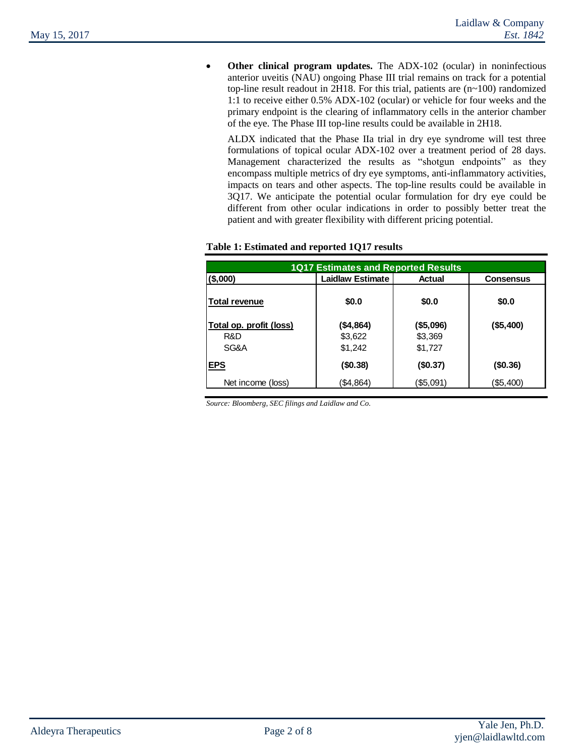**Other clinical program updates.** The ADX-102 (ocular) in noninfectious anterior uveitis (NAU) ongoing Phase III trial remains on track for a potential top-line result readout in 2H18. For this trial, patients are (n~100) randomized 1:1 to receive either 0.5% ADX-102 (ocular) or vehicle for four weeks and the primary endpoint is the clearing of inflammatory cells in the anterior chamber of the eye. The Phase III top-line results could be available in 2H18.

ALDX indicated that the Phase IIa trial in dry eye syndrome will test three formulations of topical ocular ADX-102 over a treatment period of 28 days. Management characterized the results as "shotgun endpoints" as they encompass multiple metrics of dry eye symptoms, anti-inflammatory activities, impacts on tears and other aspects. The top-line results could be available in 3Q17. We anticipate the potential ocular formulation for dry eye could be different from other ocular indications in order to possibly better treat the patient and with greater flexibility with different pricing potential.

| <b>1Q17 Estimates and Reported Results</b> |                         |           |                  |  |  |  |
|--------------------------------------------|-------------------------|-----------|------------------|--|--|--|
| (\$,000)                                   | <b>Laidlaw Estimate</b> | Actual    | <b>Consensus</b> |  |  |  |
| <b>Total revenue</b>                       | \$0.0                   | \$0.0     | \$0.0            |  |  |  |
| Total op. profit (loss)                    | (\$4,864)               | (\$5,096) | (\$5,400)        |  |  |  |
| R&D                                        | \$3,622                 | \$3,369   |                  |  |  |  |
| SG&A                                       | \$1,242                 | \$1,727   |                  |  |  |  |
| <b>EPS</b>                                 | (\$0.38)                | (\$0.37)  | (\$0.36)         |  |  |  |
| Net income (loss)                          | (\$4,864)               | (\$5,091) | (\$5,400)        |  |  |  |

#### **Table 1: Estimated and reported 1Q17 results**

*Source: Bloomberg, SEC filings and Laidlaw and Co.*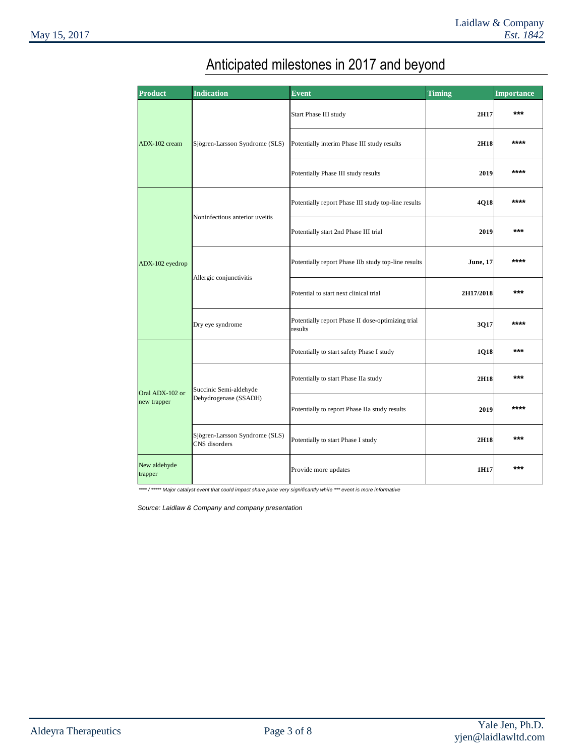| <b>Product</b>                 | <b>Indication</b>                               | <b>Event</b>                                                 | <b>Timing</b>   | <b>Importance</b> |
|--------------------------------|-------------------------------------------------|--------------------------------------------------------------|-----------------|-------------------|
| ADX-102 cream                  |                                                 | Start Phase III study                                        | 2H17            | ***               |
|                                | Sjögren-Larsson Syndrome (SLS)                  | Potentially interim Phase III study results                  | 2H18            | ****              |
|                                |                                                 | Potentially Phase III study results                          | 2019            | ****              |
|                                |                                                 | Potentially report Phase III study top-line results          | 4Q18            | ****              |
|                                | Noninfectious anterior uveitis                  | Potentially start 2nd Phase III trial                        | 2019            | $***$             |
| ADX-102 eyedrop                |                                                 | Potentially report Phase IIb study top-line results          | <b>June, 17</b> | ****              |
|                                | Allergic conjunctivitis                         | Potential to start next clinical trial                       | 2H17/2018       | $***$             |
|                                | Dry eye syndrome                                | Potentially report Phase II dose-optimizing trial<br>results | 3Q17            | ****              |
|                                |                                                 | Potentially to start safety Phase I study                    | 1Q18            | ***               |
| Oral ADX-102 or<br>new trapper | Succinic Semi-aldehyde                          | Potentially to start Phase IIa study                         | 2H18            | ***               |
|                                | Dehydrogenase (SSADH)                           | Potentially to report Phase IIa study results                | 2019            | ****              |
|                                | Sjögren-Larsson Syndrome (SLS)<br>CNS disorders | Potentially to start Phase I study                           | 2H18            | ***               |
| New aldehyde<br>trapper        |                                                 | Provide more updates                                         | 1H17            | $***$             |

# Anticipated milestones in 2017 and beyond

*\*\*\*\* / \*\*\*\*\* Major catalyst event that could impact share price very significantly while \*\*\* event is more informative* 

*Source: Laidlaw & Company and company presentation*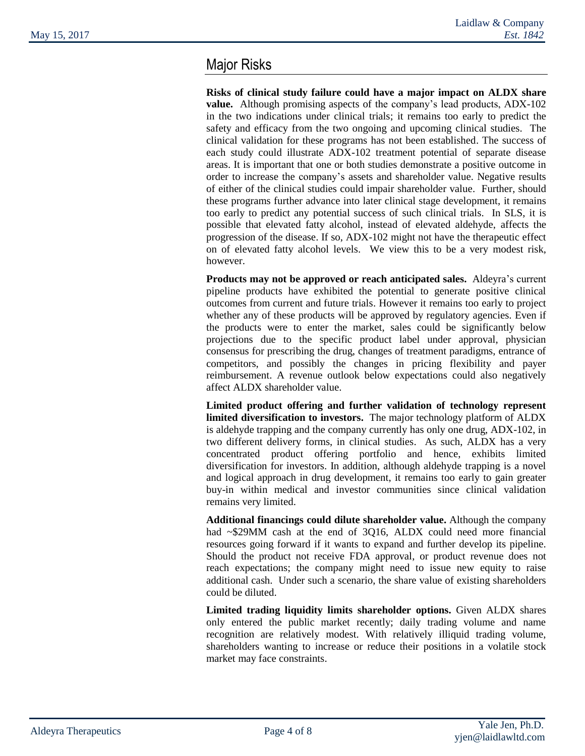## Major Risks

**Risks of clinical study failure could have a major impact on ALDX share value.** Although promising aspects of the company's lead products, ADX-102 in the two indications under clinical trials; it remains too early to predict the safety and efficacy from the two ongoing and upcoming clinical studies. The clinical validation for these programs has not been established. The success of each study could illustrate ADX-102 treatment potential of separate disease areas. It is important that one or both studies demonstrate a positive outcome in order to increase the company's assets and shareholder value. Negative results of either of the clinical studies could impair shareholder value. Further, should these programs further advance into later clinical stage development, it remains too early to predict any potential success of such clinical trials. In SLS, it is possible that elevated fatty alcohol, instead of elevated aldehyde, affects the progression of the disease. If so, ADX-102 might not have the therapeutic effect on of elevated fatty alcohol levels. We view this to be a very modest risk, however.

**Products may not be approved or reach anticipated sales.** Aldeyra's current pipeline products have exhibited the potential to generate positive clinical outcomes from current and future trials. However it remains too early to project whether any of these products will be approved by regulatory agencies. Even if the products were to enter the market, sales could be significantly below projections due to the specific product label under approval, physician consensus for prescribing the drug, changes of treatment paradigms, entrance of competitors, and possibly the changes in pricing flexibility and payer reimbursement. A revenue outlook below expectations could also negatively affect ALDX shareholder value.

**Limited product offering and further validation of technology represent limited diversification to investors.** The major technology platform of ALDX is aldehyde trapping and the company currently has only one drug, ADX-102, in two different delivery forms, in clinical studies. As such, ALDX has a very concentrated product offering portfolio and hence, exhibits limited diversification for investors. In addition, although aldehyde trapping is a novel and logical approach in drug development, it remains too early to gain greater buy-in within medical and investor communities since clinical validation remains very limited.

**Additional financings could dilute shareholder value.** Although the company had ~\$29MM cash at the end of 3Q16, ALDX could need more financial resources going forward if it wants to expand and further develop its pipeline. Should the product not receive FDA approval, or product revenue does not reach expectations; the company might need to issue new equity to raise additional cash. Under such a scenario, the share value of existing shareholders could be diluted.

**Limited trading liquidity limits shareholder options.** Given ALDX shares only entered the public market recently; daily trading volume and name recognition are relatively modest. With relatively illiquid trading volume, shareholders wanting to increase or reduce their positions in a volatile stock market may face constraints.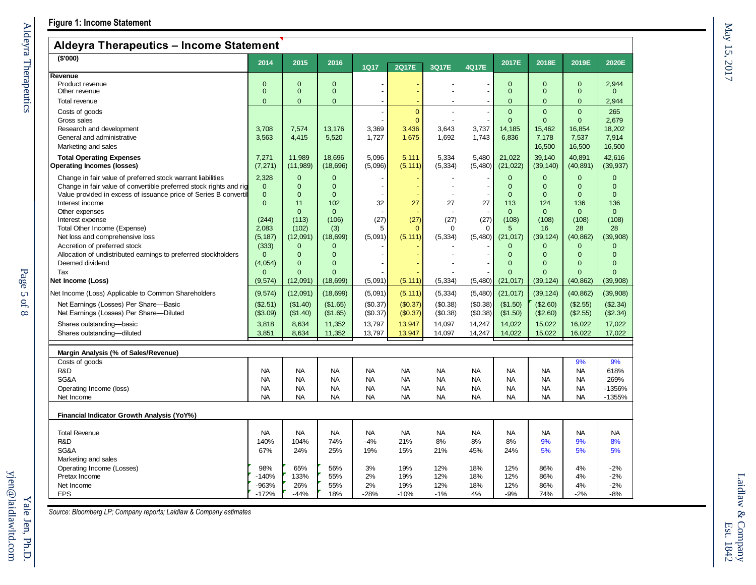### **Aldeyra Therapeutics – Income Statement**

| личути тимиро                                                                       |                          |                        |                        |                        |                        |                        |                        |                          |                          |                        |                          |
|-------------------------------------------------------------------------------------|--------------------------|------------------------|------------------------|------------------------|------------------------|------------------------|------------------------|--------------------------|--------------------------|------------------------|--------------------------|
| (S'000)                                                                             | 2014                     | 2015                   | 2016                   | <b>1Q17</b>            | <b>2Q17E</b>           | 3Q17E                  | 4Q17E                  | 2017E                    | 2018E                    | 2019E                  | 2020E                    |
| Revenue                                                                             |                          |                        |                        |                        |                        |                        |                        |                          |                          |                        |                          |
| Product revenue                                                                     | $\Omega$                 | $\Omega$               | $\Omega$               |                        |                        |                        |                        | $\mathbf{0}$             | $\Omega$                 | $\Omega$               | 2,944                    |
| Other revenue                                                                       | $\Omega$                 | $\Omega$               | $\mathbf{0}$           |                        |                        |                        |                        | $\mathbf{0}$             | $\mathbf{0}$             | $\Omega$               | $\Omega$                 |
| Total revenue                                                                       | $\mathbf{0}$             | $\mathbf{0}$           | $\overline{0}$         |                        |                        |                        |                        | $\mathbf{0}$             | $\mathbf 0$              | $\mathbf{0}$           | 2,944                    |
| Costs of goods                                                                      |                          |                        |                        |                        | $\overline{0}$         |                        |                        | $\mathbf{0}$             | $\overline{0}$           | $\overline{0}$         | 265                      |
| Gross sales                                                                         |                          |                        |                        |                        | $\overline{0}$         |                        |                        | $\mathbf{0}$             | $\mathbf{0}$             | $\Omega$               | 2,679                    |
| Research and development                                                            | 3,708                    | 7,574                  | 13,176                 | 3,369                  | 3,436                  | 3,643                  | 3,737                  | 14,185                   | 15,462                   | 16,854                 | 18,202                   |
| General and administrative                                                          | 3,563                    | 4,415                  | 5,520                  | 1,727                  | 1,675                  | 1,692                  | 1,743                  | 6,836                    | 7,178                    | 7,537                  | 7,914                    |
| Marketing and sales                                                                 |                          |                        |                        |                        |                        |                        |                        |                          | 16,500                   | 16,500                 | 16,500                   |
|                                                                                     |                          |                        |                        |                        |                        |                        |                        |                          |                          |                        |                          |
| <b>Total Operating Expenses</b><br><b>Operating Incomes (losses)</b>                | 7,271<br>(7, 271)        | 11,989<br>(11, 989)    | 18,696<br>(18, 696)    | 5,096<br>(5,096)       | 5,111<br>(5, 111)      | 5,334<br>(5, 334)      | 5,480<br>(5,480)       | 21,022<br>(21, 022)      | 39,140<br>(39, 140)      | 40,891<br>(40, 891)    | 42,616<br>(39, 937)      |
|                                                                                     |                          |                        |                        |                        |                        |                        |                        |                          |                          |                        |                          |
| Change in fair value of preferred stock warrant liabilities                         | 2.328                    | $\Omega$               | $\Omega$               |                        |                        |                        |                        | $\mathbf{0}$             | $\Omega$                 | $\Omega$               | $\Omega$                 |
| Change in fair value of convertible preferred stock rights and rig                  | $\mathbf{0}$<br>$\Omega$ | $\Omega$<br>$\Omega$   | $\Omega$               |                        |                        |                        |                        | $\mathbf{0}$<br>$\Omega$ | $\mathbf{0}$<br>$\Omega$ | $\Omega$<br>$\Omega$   | $\mathbf{0}$<br>$\Omega$ |
| Value provided in excess of issuance price of Series B convertil<br>Interest income | $\Omega$                 | 11                     | $\Omega$<br>102        | 32                     | 27                     | 27                     | 27                     | 113                      | 124                      | 136                    | 136                      |
| Other expenses                                                                      |                          | $\mathbf{0}$           | $\mathbf{0}$           |                        |                        |                        |                        | $\mathbf{0}$             | $\mathbf{0}$             | $\Omega$               | $\mathbf{0}$             |
| Interest expense                                                                    | (244)                    | (113)                  | (106)                  | (27)                   | (27)                   | (27)                   | (27)                   | (108)                    | (108)                    | (108)                  | (108)                    |
| Total Other Income (Expense)                                                        | 2,083                    | (102)                  | (3)                    | 5                      | $\mathbf{0}$           | $\mathbf 0$            | $\Omega$               | $5\phantom{.0}$          | 16                       | 28                     | 28                       |
| Net loss and comprehensive loss                                                     | (5, 187)                 | (12,091)               | (18, 699)              | (5,091)                | (5, 111)               | (5, 334)               | (5,480)                | (21, 017)                | (39, 124)                | (40, 862)              | (39,908)                 |
| Accretion of preferred stock                                                        | (333)                    | $\overline{0}$         | $\overline{0}$         |                        |                        |                        |                        | $\mathbf{0}$             | $\mathbf{0}$             | $\mathbf{0}$           | $\mathbf{0}$             |
| Allocation of undistributed earnings to preferred stockholders                      | $\mathbf{0}$             | $\Omega$               | $\Omega$               |                        |                        |                        |                        | $\mathbf{0}$             | $\mathbf{0}$             | $\Omega$               | $\Omega$                 |
| Deemed dividend                                                                     | (4,054)                  | $\overline{0}$         | $\overline{0}$         |                        |                        |                        |                        | $\overline{0}$           | $\Omega$                 | $\Omega$               | $\Omega$                 |
| Tax                                                                                 | $\Omega$                 | $\Omega$               | $\mathbf{0}$           |                        |                        |                        |                        | $\Omega$                 | $\Omega$                 | $\Omega$               | $\Omega$                 |
| Net Income (Loss)                                                                   | (9,574)                  | (12,091)               | (18, 699)              | (5,091)                | (5, 111)               | (5, 334)               | (5,480)                | (21, 017)                | (39, 124)                | (40, 862)              | (39,908)                 |
| Net Income (Loss) Applicable to Common Shareholders                                 | (9,574)                  | (12,091)               | (18, 699)              | (5,091)                | (5, 111)               | (5, 334)               | (5,480)                | (21, 017)                | (39, 124)                | (40, 862)              | (39,908)                 |
| Net Earnings (Losses) Per Share-Basic                                               | (\$2.51)                 | (\$1.40)               | (\$1.65)               | (\$0.37)               | (\$0.37)               | (S0.38)                | (\$0.38)               | (\$1.50)                 | (\$2.60)                 | (\$2.55)               | (\$2.34)                 |
| Net Earnings (Losses) Per Share-Diluted                                             | (\$3.09)                 | (\$1.40)               | (\$1.65)               | (\$0.37)               | (\$0.37)               | (\$0.38)               | (\$0.38)               | (\$1.50)                 | (\$2.60)                 | (\$2.55)               | (\$2.34)                 |
| Shares outstanding-basic                                                            | 3,818                    | 8,634                  | 11,352                 | 13,797                 | 13,947                 | 14,097                 | 14,247                 | 14,022                   | 15,022                   | 16,022                 | 17,022                   |
| Shares outstanding-diluted                                                          | 3,851                    | 8,634                  | 11,352                 | 13,797                 | 13,947                 | 14,097                 | 14,247                 | 14,022                   | 15,022                   | 16,022                 | 17,022                   |
|                                                                                     |                          |                        |                        |                        |                        |                        |                        |                          |                          |                        |                          |
| Margin Analysis (% of Sales/Revenue)                                                |                          |                        |                        |                        |                        |                        |                        |                          |                          |                        |                          |
| Costs of goods                                                                      |                          |                        |                        |                        |                        |                        |                        |                          |                          | 9%                     | 9%                       |
| R&D<br>SG&A                                                                         | <b>NA</b>                | <b>NA</b>              | <b>NA</b>              | <b>NA</b>              | <b>NA</b>              | <b>NA</b>              | <b>NA</b>              | <b>NA</b>                | <b>NA</b>                | <b>NA</b>              | 618%                     |
|                                                                                     | <b>NA</b><br><b>NA</b>   | <b>NA</b><br><b>NA</b> | <b>NA</b><br><b>NA</b> | <b>NA</b><br><b>NA</b> | <b>NA</b><br><b>NA</b> | <b>NA</b><br><b>NA</b> | <b>NA</b><br><b>NA</b> | <b>NA</b><br><b>NA</b>   | <b>NA</b><br><b>NA</b>   | <b>NA</b><br><b>NA</b> | 269%                     |
| Operating Income (loss)<br>Net Income                                               | <b>NA</b>                | <b>NA</b>              | <b>NA</b>              | <b>NA</b>              | <b>NA</b>              | <b>NA</b>              | <b>NA</b>              | <b>NA</b>                | <b>NA</b>                | <b>NA</b>              | -1356%<br>-1355%         |
|                                                                                     |                          |                        |                        |                        |                        |                        |                        |                          |                          |                        |                          |
| <b>Financial Indicator Growth Analysis (YoY%)</b>                                   |                          |                        |                        |                        |                        |                        |                        |                          |                          |                        |                          |
|                                                                                     |                          |                        |                        |                        |                        |                        |                        |                          |                          |                        |                          |
| <b>Total Revenue</b>                                                                | <b>NA</b>                | <b>NA</b>              | <b>NA</b>              | <b>NA</b>              | <b>NA</b>              | <b>NA</b>              | <b>NA</b>              | <b>NA</b>                | <b>NA</b>                | <b>NA</b>              | <b>NA</b>                |
| R&D                                                                                 | 140%                     | 104%                   | 74%                    | $-4%$                  | 21%                    | 8%                     | 8%                     | 8%                       | 9%                       | 9%                     | 8%                       |
| SG&A                                                                                | 67%                      | 24%                    | 25%                    | 19%                    | 15%                    | 21%                    | 45%                    | 24%                      | 5%                       | 5%                     | 5%                       |
| Marketing and sales                                                                 |                          |                        |                        |                        |                        |                        |                        |                          |                          |                        |                          |
| Operating Income (Losses)                                                           | 98%                      | 65%                    | 56%                    | 3%                     | 19%                    | 12%                    | 18%                    | 12%                      | 86%                      | 4%                     | $-2%$                    |
| Pretax Income                                                                       | 140%                     | 133%                   | 55%                    | 2%                     | 19%                    | 12%                    | 18%                    | 12%                      | 86%                      | 4%                     | $-2%$                    |
| Net Income                                                                          | -963%                    | 26%                    | 55%                    | 2%                     | 19%                    | 12%                    | 18%                    | 12%                      | 86%                      | 4%                     | $-2%$                    |
| <b>EPS</b>                                                                          | $-172%$                  | $-44%$                 | 18%                    | $-28%$                 | $-10%$                 | $-1%$                  | 4%                     | $-9%$                    | 74%                      | $-2%$                  | $-8%$                    |

*Source: Bloomberg LP; Company reports; Laidlaw & Company estimates*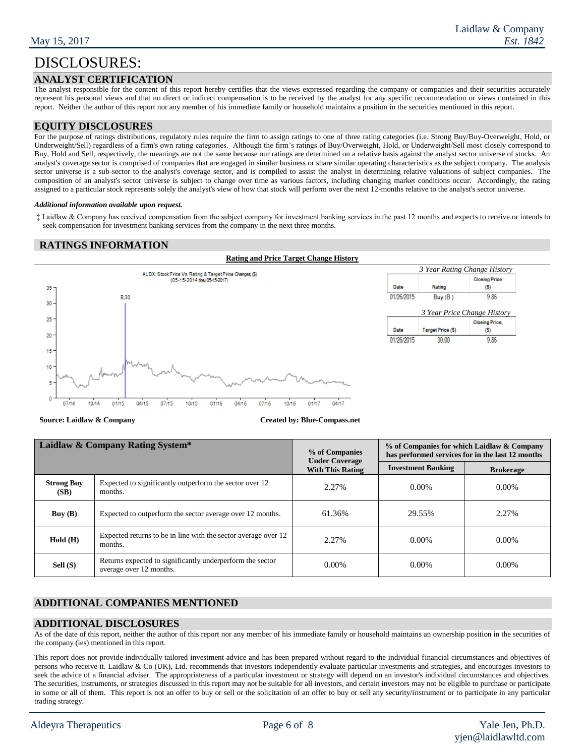### **ANALYST CERTIFICATION**

The analyst responsible for the content of this report hereby certifies that the views expressed regarding the company or companies and their securities accurately represent his personal views and that no direct or indirect compensation is to be received by the analyst for any specific recommendation or views contained in this report. Neither the author of this report nor any member of his immediate family or household maintains a position in the securities mentioned in this report.

#### **EQUITY DISCLOSURES**

For the purpose of ratings distributions, regulatory rules require the firm to assign ratings to one of three rating categories (i.e. Strong Buy/Buy-Overweight, Hold, or Underweight/Sell) regardless of a firm's own rating categories. Although the firm's ratings of Buy/Overweight, Hold, or Underweight/Sell most closely correspond to Buy, Hold and Sell, respectively, the meanings are not the same because our ratings are determined on a relative basis against the analyst sector universe of stocks. An analyst's coverage sector is comprised of companies that are engaged in similar business or share similar operating characteristics as the subject company. The analysis sector universe is a sub-sector to the analyst's coverage sector, and is compiled to assist the analyst in determining relative valuations of subject companies. The composition of an analyst's sector universe is subject to change over time as various factors, including changing market conditions occur. Accordingly, the rating assigned to a particular stock represents solely the analyst's view of how that stock will perform over the next 12-months relative to the analyst's sector universe.

#### *Additional information available upon request.*

‡ Laidlaw & Company has received compensation from the subject company for investment banking services in the past 12 months and expects to receive or intends to seek compensation for investment banking services from the company in the next three months.

#### **RATINGS INFORMATION**

#### **Rating and Price Target Change History**



**Source: Laidlaw & Company <b>Created by: Blue-Compass.net** 

| Laidlaw & Company Rating System* |                                                                                      | % of Companies<br><b>Under Coverage</b> | % of Companies for which Laidlaw & Company<br>has performed services for in the last 12 months |                  |  |  |
|----------------------------------|--------------------------------------------------------------------------------------|-----------------------------------------|------------------------------------------------------------------------------------------------|------------------|--|--|
|                                  |                                                                                      |                                         | <b>Investment Banking</b>                                                                      | <b>Brokerage</b> |  |  |
| <b>Strong Buy</b><br>(SB)        | Expected to significantly outperform the sector over 12<br>months.                   | 2.27%                                   | $0.00\%$                                                                                       | $0.00\%$         |  |  |
| Buy $(B)$                        | Expected to outperform the sector average over 12 months.                            | 61.36%                                  | 29.55%                                                                                         | 2.27%            |  |  |
| Hold(H)                          | Expected returns to be in line with the sector average over 12<br>months.            | 2.27%                                   | $0.00\%$                                                                                       | $0.00\%$         |  |  |
| Sell (S)                         | Returns expected to significantly underperform the sector<br>average over 12 months. | $0.00\%$                                | $0.00\%$                                                                                       | $0.00\%$         |  |  |

#### **ADDITIONAL COMPANIES MENTIONED**

#### **ADDITIONAL DISCLOSURES**

As of the date of this report, neither the author of this report nor any member of his immediate family or household maintains an ownership position in the securities of the company (ies) mentioned in this report.

This report does not provide individually tailored investment advice and has been prepared without regard to the individual financial circumstances and objectives of persons who receive it. Laidlaw & Co (UK), Ltd. recommends that investors independently evaluate particular investments and strategies, and encourages investors to seek the advice of a financial adviser. The appropriateness of a particular investment or strategy will depend on an investor's individual circumstances and objectives. The securities, instruments, or strategies discussed in this report may not be suitable for all investors, and certain investors may not be eligible to purchase or participate in some or all of them. This report is not an offer to buy or sell or the solicitation of an offer to buy or sell any security/instrument or to participate in any particular trading strategy.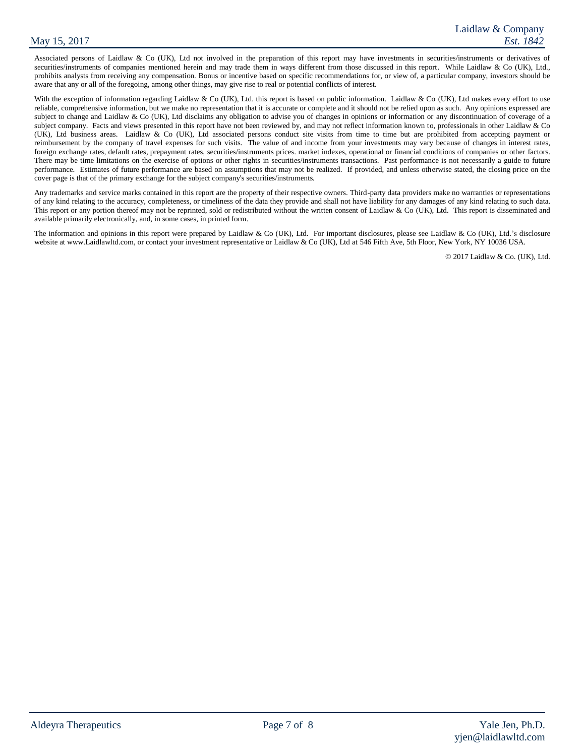Associated persons of Laidlaw & Co (UK), Ltd not involved in the preparation of this report may have investments in securities/instruments or derivatives of securities/instruments of companies mentioned herein and may trade them in ways different from those discussed in this report. While Laidlaw & Co (UK), Ltd., prohibits analysts from receiving any compensation. Bonus or incentive based on specific recommendations for, or view of, a particular company, investors should be aware that any or all of the foregoing, among other things, may give rise to real or potential conflicts of interest.

With the exception of information regarding Laidlaw & Co (UK), Ltd. this report is based on public information. Laidlaw & Co (UK), Ltd makes every effort to use reliable, comprehensive information, but we make no representation that it is accurate or complete and it should not be relied upon as such. Any opinions expressed are subject to change and Laidlaw & Co (UK), Ltd disclaims any obligation to advise you of changes in opinions or information or any discontinuation of coverage of a subject company. Facts and views presented in this report have not been reviewed by, and may not reflect information known to, professionals in other Laidlaw & Co (UK), Ltd business areas. Laidlaw & Co (UK), Ltd associated persons conduct site visits from time to time but are prohibited from accepting payment or reimbursement by the company of travel expenses for such visits. The value of and income from your investments may vary because of changes in interest rates, foreign exchange rates, default rates, prepayment rates, securities/instruments prices. market indexes, operational or financial conditions of companies or other factors. There may be time limitations on the exercise of options or other rights in securities/instruments transactions. Past performance is not necessarily a guide to future performance. Estimates of future performance are based on assumptions that may not be realized. If provided, and unless otherwise stated, the closing price on the cover page is that of the primary exchange for the subject company's securities/instruments.

Any trademarks and service marks contained in this report are the property of their respective owners. Third-party data providers make no warranties or representations of any kind relating to the accuracy, completeness, or timeliness of the data they provide and shall not have liability for any damages of any kind relating to such data. This report or any portion thereof may not be reprinted, sold or redistributed without the written consent of Laidlaw & Co (UK), Ltd. This report is disseminated and available primarily electronically, and, in some cases, in printed form.

The information and opinions in this report were prepared by Laidlaw & Co (UK), Ltd. For important disclosures, please see Laidlaw & Co (UK), Ltd.'s disclosure website at www.Laidlawltd.com, or contact your investment representative or Laidlaw & Co (UK), Ltd at 546 Fifth Ave, 5th Floor, New York, NY 10036 USA.

© 2017 Laidlaw & Co. (UK), Ltd.